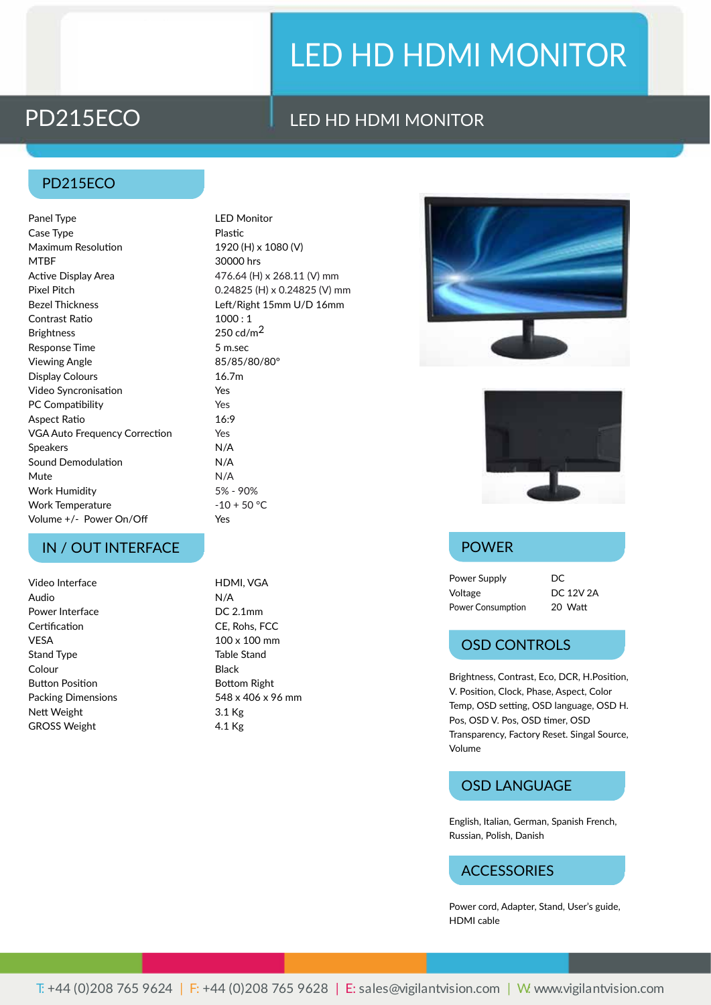# LED HD HDMI MONITOR

## PD215ECO LED HD HDMI MONITOR

#### PD215ECO

Panel Type **LED** Monitor Case Type **Plastic** Maximum Resolution 1920 (H) x 1080 (V) MTBF 30000 hrs Active Display Area 476.64 (H) x 268.11 (V) mm Pixel Pitch 0.24825 (H) x 0.24825 (V) mm Bezel Thickness Left/Right 15mm U/D 16mm Contrast Ratio 1000 : 1 Brightness  $250 \text{ cd/m}^2$ Response Time 5 m.sec Viewing Angle 85/85/80/80° Display Colours 16.7m Video Syncronisation The Syncronisation PC Compatibility **Yes** Aspect Ratio 16:9 VGA Auto Frequency Correction Yes Speakers N/A Sound Demodulation N/A Mute N/A Work Humidity 5% - 90% Work Temperature -10 + 50 °C Volume +/- Power On/Off Yes

### IN / OUT INTERFACE POWER

Video Interface HDMI, VGA Audio N/A Power Interface DC 2.1mm Certification CE, Rohs, FCC VESA 100 x 100 mm Stand Type Table Stand Colour **Black** Button Position **Bottom Right** Packing Dimensions 548 x 406 x 96 mm Nett Weight 3.1 Kg GROSS Weight 4.1 Kg





Power Supply DC Voltage DC 12V 2A Power Consumption 20 Watt

### OSD CONTROLS

Brightness, Contrast, Eco, DCR, H.Position, V. Position, Clock, Phase, Aspect, Color Temp, OSD setting, OSD language, OSD H. Pos, OSD V. Pos, OSD timer, OSD Transparency, Factory Reset. Singal Source, Volume

### OSD LANGUAGE

English, Italian, German, Spanish French, Russian, Polish, Danish

#### **ACCESSORIES**

Power cord, Adapter, Stand, User's guide, HDMI cable